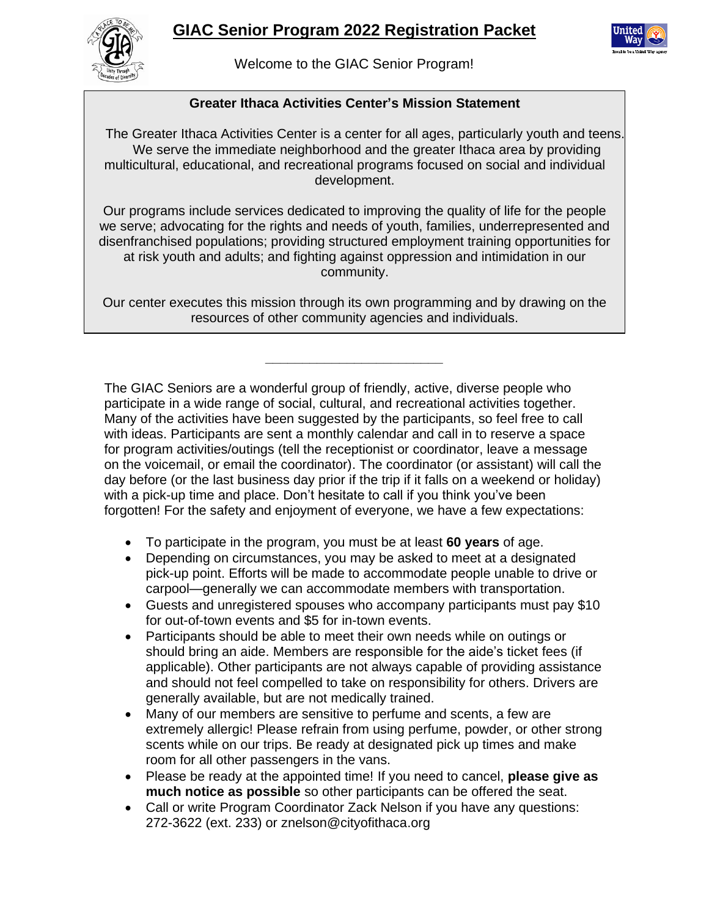## **GIAC Senior Program 2022 Registration Packet**



Welcome to the GIAC Senior Program!

### **Greater Ithaca Activities Center's Mission Statement**

The Greater Ithaca Activities Center is a center for all ages, particularly youth and teens. We serve the immediate neighborhood and the greater Ithaca area by providing multicultural, educational, and recreational programs focused on social and individual development.

Our programs include services dedicated to improving the quality of life for the people we serve; advocating for the rights and needs of youth, families, underrepresented and disenfranchised populations; providing structured employment training opportunities for at risk youth and adults; and fighting against oppression and intimidation in our community.

Our center executes this mission through its own programming and by drawing on the resources of other community agencies and individuals.

**\_\_\_\_\_\_\_\_\_\_\_\_\_\_\_\_\_\_\_\_\_\_\_\_**

The GIAC Seniors are a wonderful group of friendly, active, diverse people who participate in a wide range of social, cultural, and recreational activities together. Many of the activities have been suggested by the participants, so feel free to call with ideas. Participants are sent a monthly calendar and call in to reserve a space for program activities/outings (tell the receptionist or coordinator, leave a message on the voicemail, or email the coordinator). The coordinator (or assistant) will call the day before (or the last business day prior if the trip if it falls on a weekend or holiday) with a pick-up time and place. Don't hesitate to call if you think you've been forgotten! For the safety and enjoyment of everyone, we have a few expectations:

- To participate in the program, you must be at least **60 years** of age.
- Depending on circumstances, you may be asked to meet at a designated pick-up point. Efforts will be made to accommodate people unable to drive or carpool—generally we can accommodate members with transportation.
- Guests and unregistered spouses who accompany participants must pay \$10 for out-of-town events and \$5 for in-town events.
- Participants should be able to meet their own needs while on outings or should bring an aide. Members are responsible for the aide's ticket fees (if applicable). Other participants are not always capable of providing assistance and should not feel compelled to take on responsibility for others. Drivers are generally available, but are not medically trained.
- Many of our members are sensitive to perfume and scents, a few are extremely allergic! Please refrain from using perfume, powder, or other strong scents while on our trips. Be ready at designated pick up times and make room for all other passengers in the vans.
- Please be ready at the appointed time! If you need to cancel, **please give as much notice as possible** so other participants can be offered the seat.
- Call or write Program Coordinator Zack Nelson if you have any questions: 272-3622 (ext. 233) or znelson@cityofithaca.org